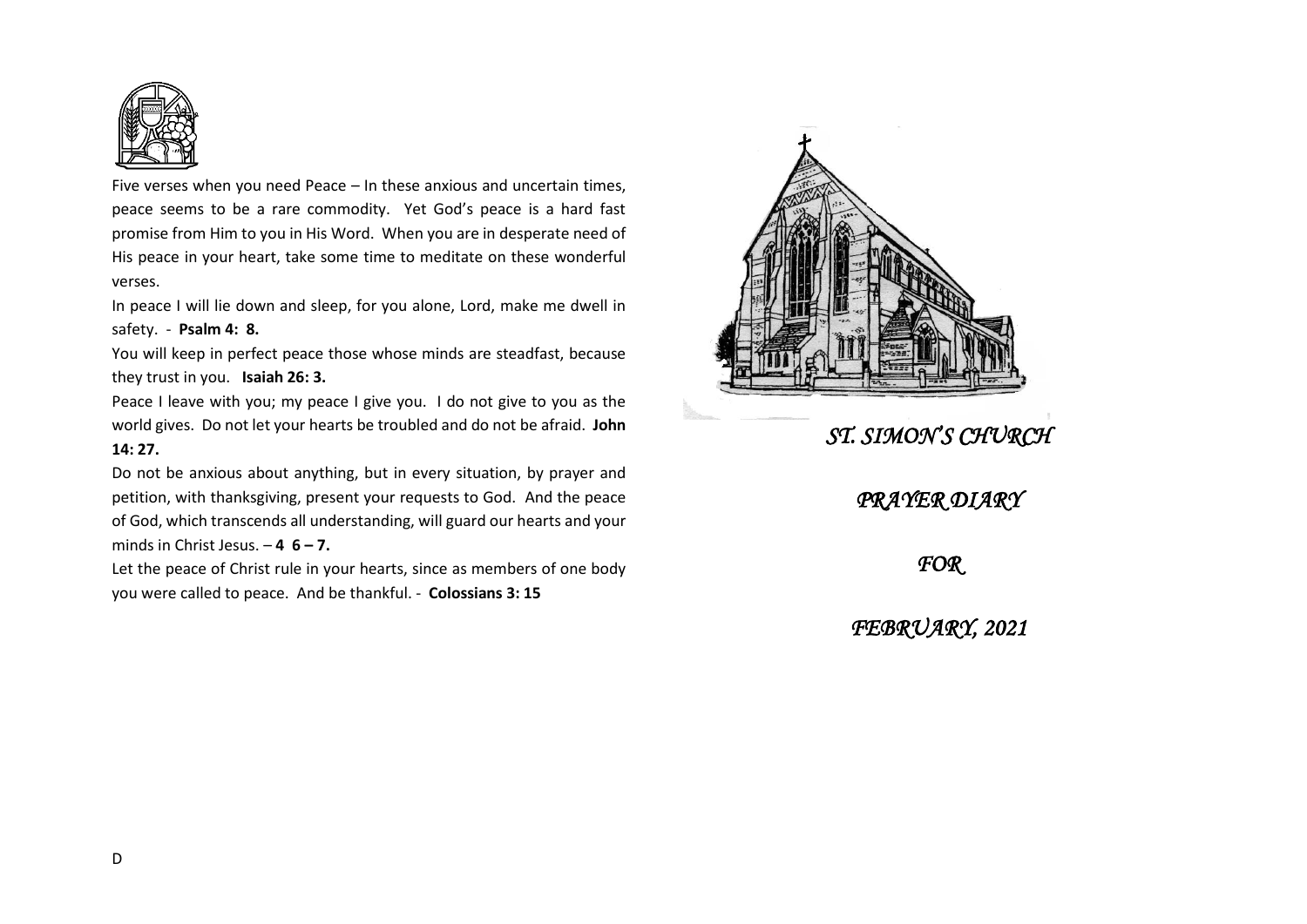

Five verses when you need Peace – In these anxious and uncertain times, peace seems to be a rare commodity. Yet God's peace is a hard fast promise from Him to you in His Word. When you are in desperate need of His peace in your heart, take some time to meditate on these wonderful verses.

In peace I will lie down and sleep, for you alone, Lord, make me dwell in safety. - **Psalm 4: 8.**

You will keep in perfect peace those whose minds are steadfast, because they trust in you. **Isaiah 26: 3.**

Peace I leave with you; my peace I give you. I do not give to you as the world gives. Do not let your hearts be troubled and do not be afraid. **John 14: 27.**

Do not be anxious about anything, but in every situation, by prayer and petition, with thanksgiving, present your requests to God. And the peace of God, which transcends all understanding, will guard our hearts and your minds in Christ Jesus. – **4 6 – 7.**

Let the peace of Christ rule in your hearts, since as members of one body you were called to peace. And be thankful. - **Colossians 3: 15**



## *ST. SIMON'S CHURCH*

## *PRAYER DIARY*

## *FOR*

*FEBRUARY, 2021*